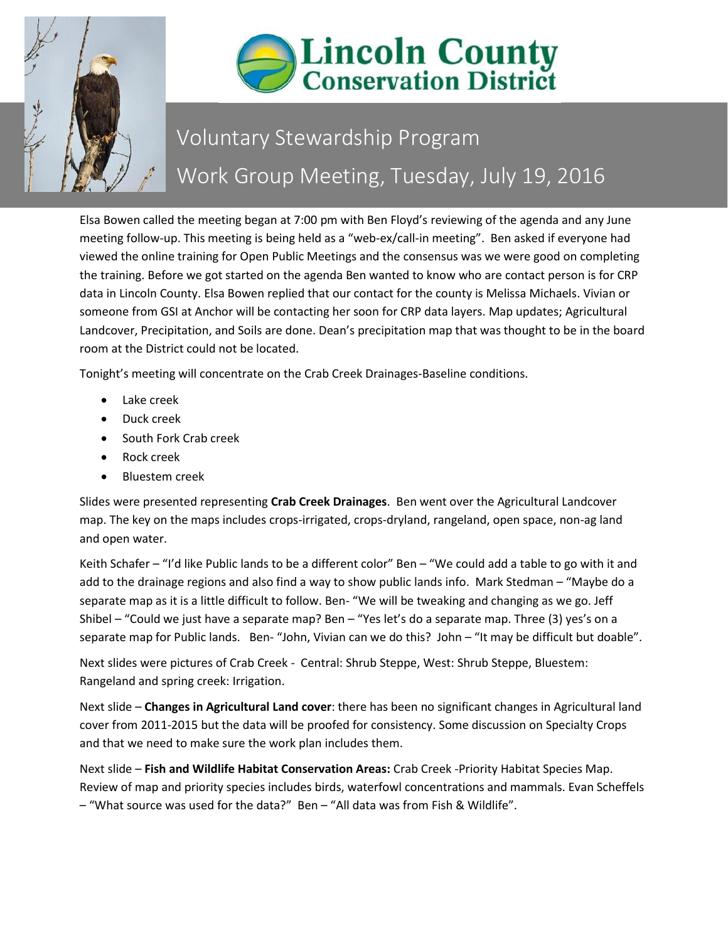



## Voluntary Stewardship Program Work Group Meeting, Tuesday, July 19, 2016

Elsa Bowen called the meeting began at 7:00 pm with Ben Floyd's reviewing of the agenda and any June meeting follow-up. This meeting is being held as a "web-ex/call-in meeting". Ben asked if everyone had viewed the online training for Open Public Meetings and the consensus was we were good on completing the training. Before we got started on the agenda Ben wanted to know who are contact person is for CRP data in Lincoln County. Elsa Bowen replied that our contact for the county is Melissa Michaels. Vivian or someone from GSI at Anchor will be contacting her soon for CRP data layers. Map updates; Agricultural Landcover, Precipitation, and Soils are done. Dean's precipitation map that was thought to be in the board room at the District could not be located.

Tonight's meeting will concentrate on the Crab Creek Drainages-Baseline conditions.

- Lake creek
- Duck creek
- South Fork Crab creek
- Rock creek
- Bluestem creek

Slides were presented representing **Crab Creek Drainages**. Ben went over the Agricultural Landcover map. The key on the maps includes crops-irrigated, crops-dryland, rangeland, open space, non-ag land and open water.

Keith Schafer – "I'd like Public lands to be a different color" Ben – "We could add a table to go with it and add to the drainage regions and also find a way to show public lands info. Mark Stedman – "Maybe do a separate map as it is a little difficult to follow. Ben- "We will be tweaking and changing as we go. Jeff Shibel – "Could we just have a separate map? Ben – "Yes let's do a separate map. Three (3) yes's on a separate map for Public lands. Ben- "John, Vivian can we do this? John – "It may be difficult but doable".

Next slides were pictures of Crab Creek - Central: Shrub Steppe, West: Shrub Steppe, Bluestem: Rangeland and spring creek: Irrigation.

Next slide – **Changes in Agricultural Land cover**: there has been no significant changes in Agricultural land cover from 2011-2015 but the data will be proofed for consistency. Some discussion on Specialty Crops and that we need to make sure the work plan includes them.

Next slide – **Fish and Wildlife Habitat Conservation Areas:** Crab Creek -Priority Habitat Species Map. Review of map and priority species includes birds, waterfowl concentrations and mammals. Evan Scheffels – "What source was used for the data?" Ben – "All data was from Fish & Wildlife".